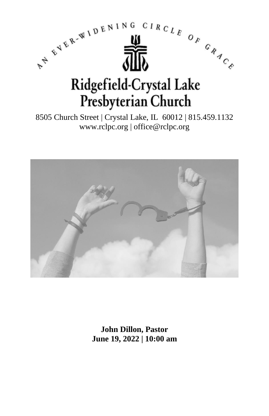

8505 Church Street | Crystal Lake, IL 60012 | 815.459.1132 www.rclpc.org | office@rclpc.org



**John Dillon, Pastor June 19, 2022 | 10:00 am**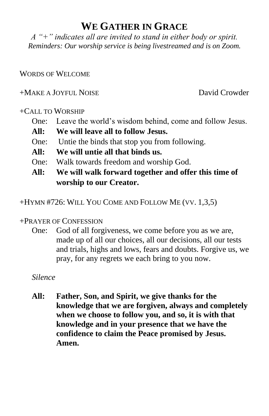# **WE GATHER IN GRACE**

*A "+" indicates all are invited to stand in either body or spirit. Reminders: Our worship service is being livestreamed and is on Zoom.*

WORDS OF WELCOME

+MAKE A JOYFUL NOISE David Crowder

### +CALL TO WORSHIP

- One: Leave the world's wisdom behind, come and follow Jesus.
- **All: We will leave all to follow Jesus.**
- One: Untie the binds that stop you from following.
- **All: We will untie all that binds us.**
- One: Walk towards freedom and worship God.
- **All: We will walk forward together and offer this time of worship to our Creator.**

+HYMN #726: WILL YOU COME AND FOLLOW ME (VV. 1,3,5)

### +PRAYER OF CONFESSION

One: God of all forgiveness, we come before you as we are, made up of all our choices, all our decisions, all our tests and trials, highs and lows, fears and doubts. Forgive us, we pray, for any regrets we each bring to you now.

*Silence*

**All: Father, Son, and Spirit, we give thanks for the knowledge that we are forgiven, always and completely when we choose to follow you, and so, it is with that knowledge and in your presence that we have the confidence to claim the Peace promised by Jesus. Amen.**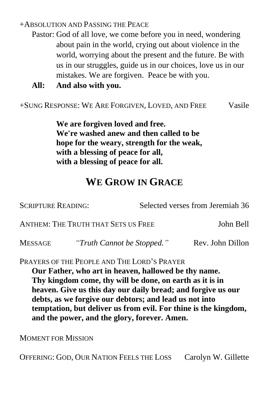#### +ABSOLUTION AND PASSING THE PEACE

- Pastor: God of all love, we come before you in need, wondering about pain in the world, crying out about violence in the world, worrying about the present and the future. Be with us in our struggles, guide us in our choices, love us in our mistakes. We are forgiven. Peace be with you.
	- **All: And also with you.**

+SUNG RESPONSE: WE ARE FORGIVEN, LOVED, AND FREE Vasile

**We are forgiven loved and free. We're washed anew and then called to be hope for the weary, strength for the weak, with a blessing of peace for all, with a blessing of peace for all.**

# **WE GROW IN GRACE**

| <b>SCRIPTURE READING:</b> |                                            | Selected verses from Jeremiah 36 |
|---------------------------|--------------------------------------------|----------------------------------|
|                           | <b>ANTHEM: THE TRUTH THAT SETS US FREE</b> | John Bell                        |
| <b>MESSAGE</b>            | "Truth Cannot be Stopped."                 | Rev. John Dillon                 |
|                           |                                            |                                  |

PRAYERS OF THE PEOPLE AND THE LORD'S PRAYER

**Our Father, who art in heaven, hallowed be thy name. Thy kingdom come, thy will be done, on earth as it is in heaven. Give us this day our daily bread; and forgive us our debts, as we forgive our debtors; and lead us not into temptation, but deliver us from evil. For thine is the kingdom, and the power, and the glory, forever. Amen.**

MOMENT FOR MISSION

OFFERING: GOD, OUR NATION FEELS THE LOSS Carolyn W. Gillette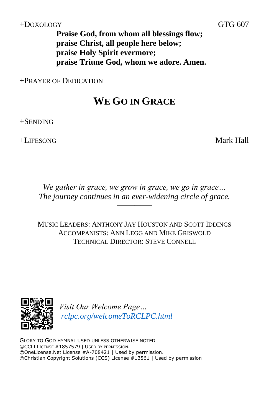#### +DOXOLOGY GTG 607

**Praise God, from whom all blessings flow; praise Christ, all people here below; praise Holy Spirit evermore; praise Triune God, whom we adore. Amen.**

+PRAYER OF DEDICATION

# **WE GO IN GRACE**

+SENDING

+LIFESONG Mark Hall

*We gather in grace, we grow in grace, we go in grace… The journey continues in an ever-widening circle of grace.*

──────

MUSIC LEADERS: ANTHONY JAY HOUSTON AND SCOTT IDDINGS ACCOMPANISTS: ANN LEGG AND MIKE GRISWOLD TECHNICAL DIRECTOR: STEVE CONNELL



*Visit Our Welcome Page… [rclpc.org/welcomeToRCLPC.html](http://rclpc.org/welcomeToRCLPC.html)*

GLORY TO GOD HYMNAL USED UNLESS OTHERWISE NOTED ©CCLI LICENSE #1857579 | USED BY PERMISSION. ©OneLicense.Net License #A-708421 | Used by permission. ©Christian Copyright Solutions (CCS) License #13561 | Used by permission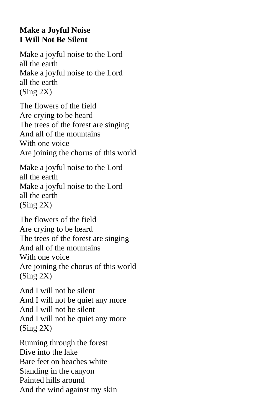### **Make a Joyful Noise I Will Not Be Silent**

Make a joyful noise to the Lord all the earth Make a joyful noise to the Lord all the earth (Sing 2X)

The flowers of the field Are crying to be heard The trees of the forest are singing And all of the mountains With one voice Are joining the chorus of this world

Make a joyful noise to the Lord all the earth Make a joyful noise to the Lord all the earth (Sing 2X)

The flowers of the field Are crying to be heard The trees of the forest are singing And all of the mountains With one voice Are joining the chorus of this world (Sing 2X)

And I will not be silent And I will not be quiet any more And I will not be silent And I will not be quiet any more (Sing 2X)

Running through the forest Dive into the lake Bare feet on beaches white Standing in the canyon Painted hills around And the wind against my skin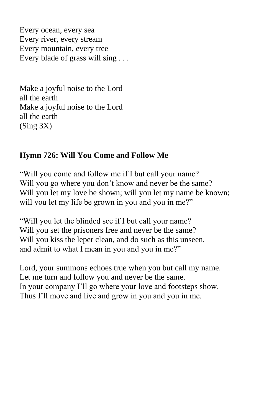Every ocean, every sea Every river, every stream Every mountain, every tree Every blade of grass will sing . . .

Make a joyful noise to the Lord all the earth Make a joyful noise to the Lord all the earth  $(Sing 3X)$ 

## **Hymn 726: Will You Come and Follow Me**

"Will you come and follow me if I but call your name? Will you go where you don't know and never be the same? Will you let my love be shown; will you let my name be known; will you let my life be grown in you and you in me?"

"Will you let the blinded see if I but call your name? Will you set the prisoners free and never be the same? Will you kiss the leper clean, and do such as this unseen, and admit to what I mean in you and you in me?"

Lord, your summons echoes true when you but call my name. Let me turn and follow you and never be the same. In your company I'll go where your love and footsteps show. Thus I'll move and live and grow in you and you in me.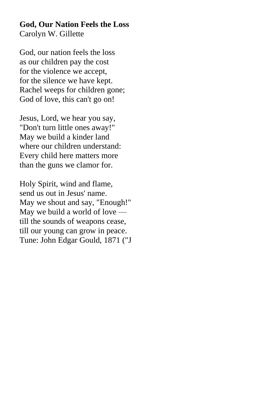# **God, Our Nation Feels the Loss**

Carolyn W. Gillette

God, our nation feels the loss as our children pay the cost for the violence we accept, for the silence we have kept. Rachel weeps for children gone; God of love, this can't go on!

Jesus, Lord, we hear you say, "Don't turn little ones away!" May we build a kinder land where our children understand: Every child here matters more than the guns we clamor for.

Holy Spirit, wind and flame, send us out in Jesus' name. May we shout and say, "Enough!" May we build a world of love till the sounds of weapons cease, till our young can grow in peace. Tune: John Edgar Gould, 1871 ("J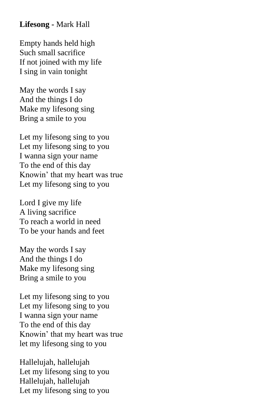### **Lifesong -** Mark Hall

Empty hands held high Such small sacrifice If not joined with my life I sing in vain tonight

May the words I say And the things I do Make my lifesong sing Bring a smile to you

Let my lifesong sing to you Let my lifesong sing to you I wanna sign your name To the end of this day Knowin' that my heart was true Let my lifesong sing to you

Lord I give my life A living sacrifice To reach a world in need To be your hands and feet

May the words I say And the things I do Make my lifesong sing Bring a smile to you

Let my lifesong sing to you Let my lifesong sing to you I wanna sign your name To the end of this day Knowin' that my heart was true let my lifesong sing to you

Hallelujah, hallelujah Let my lifesong sing to you Hallelujah, hallelujah Let my lifesong sing to you